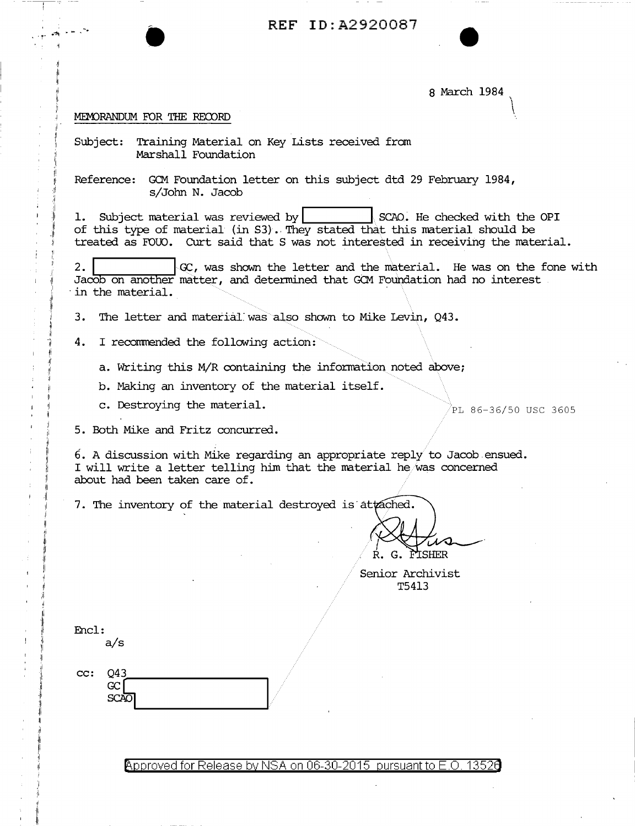REF ID: A2920087

8 March 1984

## MEMORANDUM FOR THE RECORD

Subject: Training Material on Key Lists received from Marshall Foundation

Reference: GCM Foundation letter on this subject dtd 29 February 1984, s/John N. Jacob

1. Subject material was reviewed by SCAO. He checked with the OPI of this type of material (in S3). They stated that this material should be treated as FOUO. Curt said that S was not interested in receiving the material.

GC, was shown the letter and the material. He was on the fone with  $2.$ Jacob on another matter, and determined that GCM Foundation had no interest in the material.

 $3.$ The letter and material was also shown to Mike Levin, Q43.

4. I recommended the following action:

a. Writing this M/R containing the information noted above;

b. Making an inventory of the material itself.

c. Destroying the material.

PL 86-36/50 USC 3605

5. Both Mike and Fritz concurred.

 $6.$  A discussion with Mike regarding an appropriate reply to Jacob ensued. I will write a letter telling him that the material he was concerned about had been taken care of.

7. The inventory of the material destroyed is attached.

R. G. FISHER

Senior Archivist T5413

| н.<br>۱С<br>J |  |  |
|---------------|--|--|
|---------------|--|--|

 $a/s$ 

| cc: | ר 14 |  |
|-----|------|--|
|     | 64.  |  |
|     | SC A |  |

Approved for Release by NSA on 06-30-2015 pursuant to E.O. 13526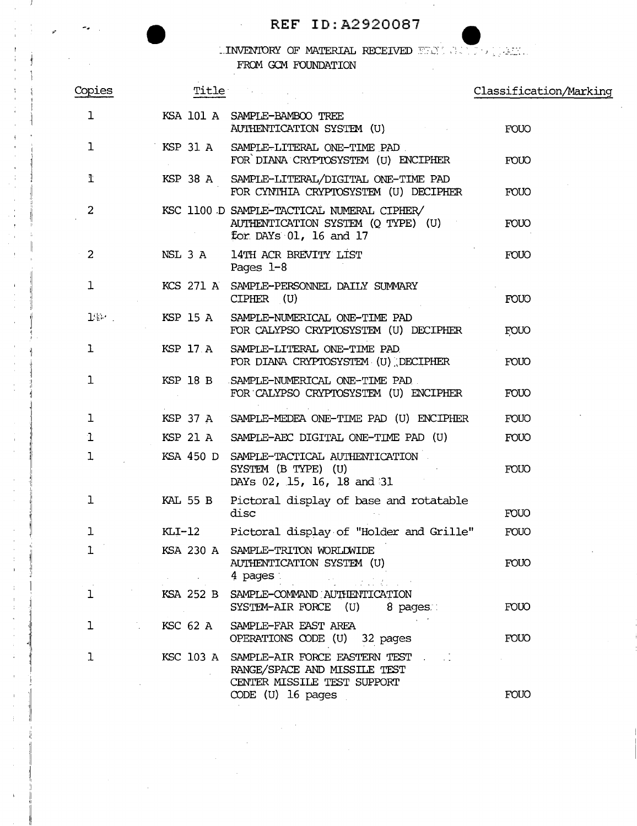## **REF** ID:A2920087

 $\Delta \sim 10^4$ 

## $\blacksquare$  INVENTORY OF MATERIAL RECEIVED  $\blacksquare\blacksquare\lozenge\blacksquare$ FROM GCM FOUNDATION  $\bar{z}$

| Copies         |           | Title in the set of the set of the set of the set of the set of the set of the set of the set of the set of th                | Classification/Marking |
|----------------|-----------|-------------------------------------------------------------------------------------------------------------------------------|------------------------|
| ı              |           | KSA 101 A SAMPLE-BAMBOO TREE<br>AUTHENTICATION SYSTEM (U)                                                                     | <b>FOUO</b>            |
| 1              |           | KSP 31 A SAMPLE-LITERAL ONE-TIME PAD<br>FOR DIANA CRYPTOSYSTEM (U) ENCIPHER                                                   | <b>FOUO</b>            |
| ľ              | KSP 38 A  | SAMPLE-LITERAL/DIGITAL ONE-TIME PAD<br>FOR CYNTHIA CRYPTOSYSTEM (U) DECIPHER                                                  | <b>FOUO</b>            |
| 2              |           | KSC 1100 D SAMPLE-TACTICAL NUMERAL CIPHER/<br>AUTHENTICATION SYSTEM (Q TYPE) (U)<br>for DAYs 01, 16 and 17                    | <b>FOUO</b>            |
| $\overline{a}$ | NSL 3 A   | 14TH ACR BREVITY LIST<br>Pages $1-8$                                                                                          | <b>FOUO</b>            |
| 1              |           | KCS 271 A SAMPLE-PERSONNEL DAILY SUMMARY<br>$CIPHER$ (U)                                                                      | <b>FOUO</b>            |
| $1$ k $-$      | KSP 15 A  | SAMPLE-NUMERICAL ONE-TIME PAD<br>FOR CALYPSO CRYPTOSYSTEM (U) DECIPHER                                                        | FOUO                   |
| ı              | KSP 17 A  | SAMPLE-LITERAL ONE-TIME PAD<br>FOR DIANA CRYPTOSYSTEM (U) DECIPHER                                                            | <b>FOUO</b>            |
| 1              | KSP 18 B  | SAMPLE-NUMERICAL ONE-TIME PAD<br>FOR CALYPSO CRYPTOSYSTEM (U) ENCIPHER                                                        | <b>FOUO</b>            |
| ı              |           | KSP 37 A SAMPLE-MEDEA ONE-TIME PAD (U) ENCIPHER                                                                               | <b>FOUO</b>            |
| 1              | KSP 21 A  | SAMPLE-AEC DIGITAL ONE-TIME PAD (U)                                                                                           | <b>FOUO</b>            |
| 1              | KSA 450 D | SAMPLE-TACTICAL AUTHENTICATION<br>SYSTEM (B TYPE) (U)<br>DAYs 02, 15, 16, 18 and 31                                           | <b>FOUO</b>            |
| $\mathbf{I}$   | KAL 55 B  | Pictoral display of base and rotatable<br>disc                                                                                | <b>FOUO</b>            |
| $\mathbf{1}$   | KLI-12    | Pictoral display of "Holder and Grille"                                                                                       | <b>FOUO</b>            |
| 1              |           | KSA 230 A SAMPLE-TRITON WORLDWIDE<br>AUTHENTICATION SYSTEM (U)<br>4 pages                                                     | <b>FOUO</b>            |
| ı              |           | KSA 252 B SAMPLE-COMMAND AUTHENTICATION<br>SYSTEM-AIR FORCE (U)<br>8 pages.                                                   | <b>FOUO</b>            |
| ı              | KSC 62 A  | SAMPLE-FAR EAST AREA<br>OPERATIONS CODE (U) 32 pages                                                                          | <b>FOUO</b>            |
| $\mathbf{1}$   |           | KSC 103 A SAMPLE-AIR FORCE EASTERN TEST<br>RANGE/SPACE AND MISSILE TEST<br>CENTER MISSILE TEST SUPPORT<br>$CODE$ (U) 16 pages | <b>FOUO</b>            |